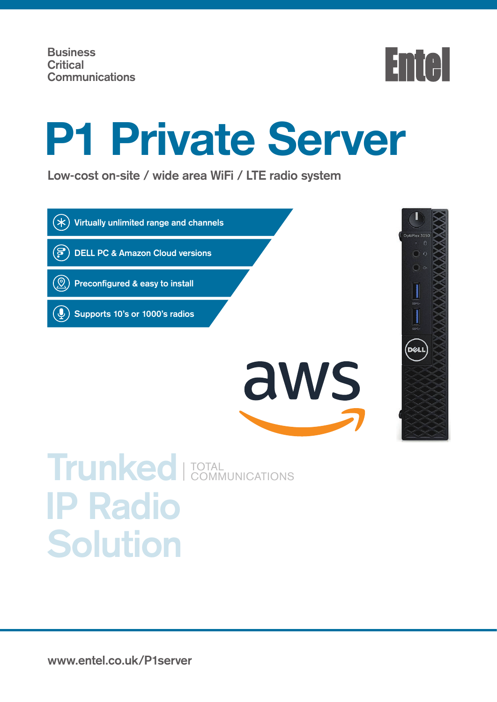(පි



# **P1 Private Server**

**Low-cost on-site / wide area WiFi / LTE radio system**



 **DELL PC & Amazon Cloud versions**

 **Preconfigured & easy to install**

 **Supports 10's or 1000's radios**





## **Trunked IP Radio Solution** TOTAL COMMUNICATIONS

**www.entel.co.uk/P1server**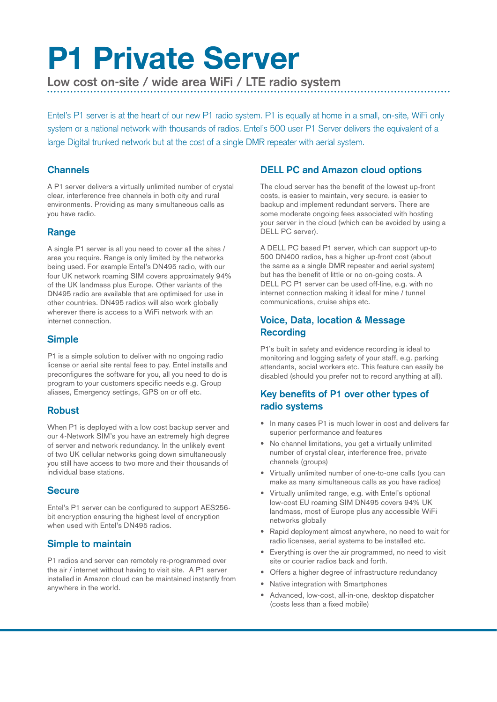# **P1 Private Server**

**Low cost on-site / wide area WiFi / LTE radio system**

Entel's P1 server is at the heart of our new P1 radio system. P1 is equally at home in a small, on-site, WiFi only system or a national network with thousands of radios. Entel's 500 user P1 Server delivers the equivalent of a large Digital trunked network but at the cost of a single DMR repeater with aerial system.

#### **Channels**

A P1 server delivers a virtually unlimited number of crystal clear, interference free channels in both city and rural environments. Providing as many simultaneous calls as you have radio.

#### **Range**

A single P1 server is all you need to cover all the sites / area you require. Range is only limited by the networks being used. For example Entel's DN495 radio, with our four UK network roaming SIM covers approximately 94% of the UK landmass plus Europe. Other variants of the DN495 radio are available that are optimised for use in other countries. DN495 radios will also work globally wherever there is access to a WiFi network with an internet connection.

#### **Simple**

P1 is a simple solution to deliver with no ongoing radio license or aerial site rental fees to pay. Entel installs and preconfigures the software for you, all you need to do is program to your customers specific needs e.g. Group aliases, Emergency settings, GPS on or off etc.

#### **Robust**

When P1 is deployed with a low cost backup server and our 4-Network SIM's you have an extremely high degree of server and network redundancy. In the unlikely event of two UK cellular networks going down simultaneously you still have access to two more and their thousands of individual base stations.

#### **Secure**

Entel's P1 server can be configured to support AES256 bit encryption ensuring the highest level of encryption when used with Entel's DN495 radios.

#### **Simple to maintain**

P1 radios and server can remotely re-programmed over the air / internet without having to visit site. A P1 server installed in Amazon cloud can be maintained instantly from anywhere in the world.

#### **DELL PC and Amazon cloud options**

The cloud server has the benefit of the lowest up-front costs, is easier to maintain, very secure, is easier to backup and implement redundant servers. There are some moderate ongoing fees associated with hosting your server in the cloud (which can be avoided by using a DELL PC server).

A DELL PC based P1 server, which can support up-to 500 DN400 radios, has a higher up-front cost (about the same as a single DMR repeater and aerial system) but has the benefit of little or no on-going costs. A DELL PC P1 server can be used off-line, e.g. with no internet connection making it ideal for mine / tunnel communications, cruise ships etc.

#### **Voice, Data, location & Message Recording**

P1's built in safety and evidence recording is ideal to monitoring and logging safety of your staff, e.g. parking attendants, social workers etc. This feature can easily be disabled (should you prefer not to record anything at all).

#### **Key benefits of P1 over other types of radio systems**

- In many cases P1 is much lower in cost and delivers far superior performance and features
- No channel limitations, you get a virtually unlimited number of crystal clear, interference free, private channels (groups)
- Virtually unlimited number of one-to-one calls (you can make as many simultaneous calls as you have radios)
- Virtually unlimited range, e.g. with Entel's optional low-cost EU roaming SIM DN495 covers 94% UK landmass, most of Europe plus any accessible WiFi networks globally
- Rapid deployment almost anywhere, no need to wait for radio licenses, aerial systems to be installed etc.
- Everything is over the air programmed, no need to visit site or courier radios back and forth.
- Offers a higher degree of infrastructure redundancy
- Native integration with Smartphones
- Advanced, low-cost, all-in-one, desktop dispatcher (costs less than a fixed mobile)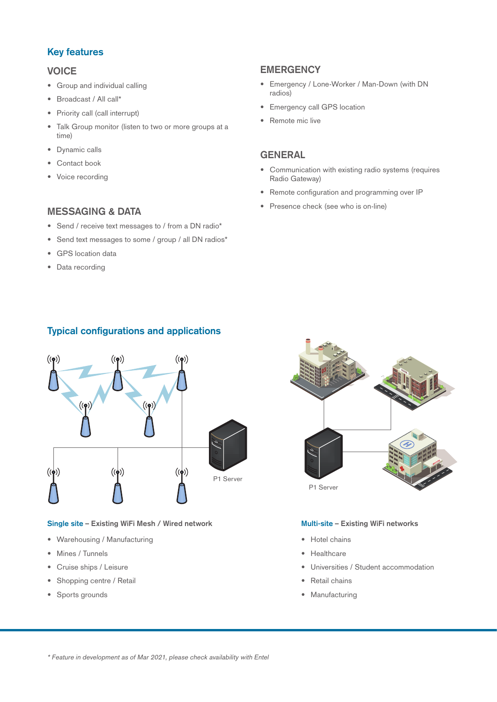#### **Key features**

#### **VOICE**

- Group and individual calling
- Broadcast / All call\*
- Priority call (call interrupt)
- Talk Group monitor (listen to two or more groups at a time)
- Dynamic calls
- Contact book
- Voice recording

#### **MESSAGING & DATA**

- Send / receive text messages to / from a DN radio\*
- Send text messages to some / group / all DN radios\*
- GPS location data
- Data recording

#### **EMERGENCY**

- Emergency / Lone-Worker / Man-Down (with DN radios)
- Emergency call GPS location
- Remote mic live

#### **GENERAL**

- Communication with existing radio systems (requires Radio Gateway)
- Remote configuration and programming over IP
- Presence check (see who is on-line)

#### **Typical configurations and applications**



#### **Single site – Existing WiFi Mesh / Wired network**

- Warehousing / Manufacturing
- Mines / Tunnels
- Cruise ships / Leisure
- Shopping centre / Retail
- Sports grounds



#### **Multi-site – Existing WiFi networks**

- Hotel chains
- Healthcare
- Universities / Student accommodation
- Retail chains
- Manufacturing

\* Feature in development as of Mar 2021, please check availability with Entel